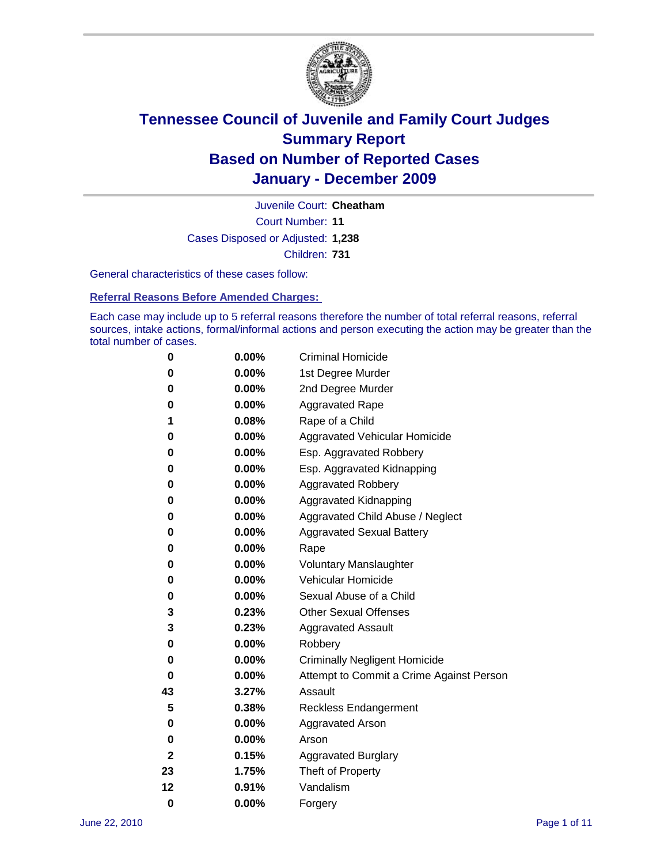

Court Number: **11** Juvenile Court: **Cheatham** Cases Disposed or Adjusted: **1,238** Children: **731**

General characteristics of these cases follow:

**Referral Reasons Before Amended Charges:** 

Each case may include up to 5 referral reasons therefore the number of total referral reasons, referral sources, intake actions, formal/informal actions and person executing the action may be greater than the total number of cases.

| 0  | 0.00%    | <b>Criminal Homicide</b>                 |  |  |  |  |
|----|----------|------------------------------------------|--|--|--|--|
| 0  | 0.00%    | 1st Degree Murder                        |  |  |  |  |
| 0  | 0.00%    | 2nd Degree Murder                        |  |  |  |  |
| 0  | 0.00%    | <b>Aggravated Rape</b>                   |  |  |  |  |
| 1  | 0.08%    | Rape of a Child                          |  |  |  |  |
| 0  | 0.00%    | Aggravated Vehicular Homicide            |  |  |  |  |
| 0  | 0.00%    | Esp. Aggravated Robbery                  |  |  |  |  |
| 0  | 0.00%    | Esp. Aggravated Kidnapping               |  |  |  |  |
| 0  | 0.00%    | <b>Aggravated Robbery</b>                |  |  |  |  |
| 0  | 0.00%    | Aggravated Kidnapping                    |  |  |  |  |
| 0  | 0.00%    | Aggravated Child Abuse / Neglect         |  |  |  |  |
| 0  | 0.00%    | <b>Aggravated Sexual Battery</b>         |  |  |  |  |
| 0  | 0.00%    | Rape                                     |  |  |  |  |
| 0  | $0.00\%$ | <b>Voluntary Manslaughter</b>            |  |  |  |  |
| 0  | 0.00%    | Vehicular Homicide                       |  |  |  |  |
| 0  | 0.00%    | Sexual Abuse of a Child                  |  |  |  |  |
| 3  | 0.23%    | <b>Other Sexual Offenses</b>             |  |  |  |  |
| 3  | 0.23%    | <b>Aggravated Assault</b>                |  |  |  |  |
| 0  | $0.00\%$ | Robbery                                  |  |  |  |  |
| 0  | 0.00%    | <b>Criminally Negligent Homicide</b>     |  |  |  |  |
| 0  | 0.00%    | Attempt to Commit a Crime Against Person |  |  |  |  |
| 43 | 3.27%    | Assault                                  |  |  |  |  |
| 5  | 0.38%    | <b>Reckless Endangerment</b>             |  |  |  |  |
| 0  | 0.00%    | <b>Aggravated Arson</b>                  |  |  |  |  |
| 0  | 0.00%    | Arson                                    |  |  |  |  |
| 2  | 0.15%    | <b>Aggravated Burglary</b>               |  |  |  |  |
| 23 | 1.75%    | Theft of Property                        |  |  |  |  |
| 12 | 0.91%    | Vandalism                                |  |  |  |  |
| 0  | 0.00%    | Forgery                                  |  |  |  |  |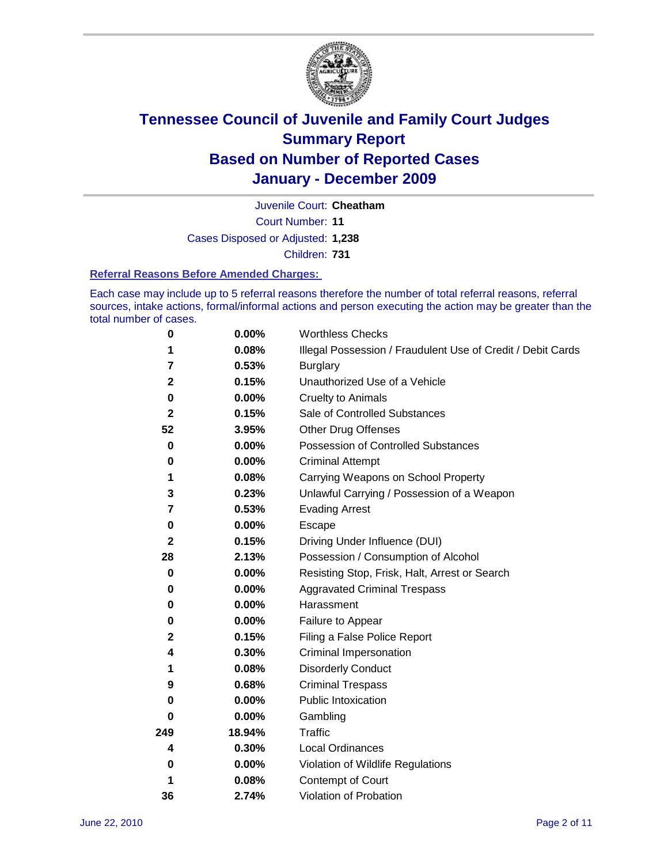

Court Number: **11** Juvenile Court: **Cheatham** Cases Disposed or Adjusted: **1,238** Children: **731**

#### **Referral Reasons Before Amended Charges:**

Each case may include up to 5 referral reasons therefore the number of total referral reasons, referral sources, intake actions, formal/informal actions and person executing the action may be greater than the total number of cases.

| $\pmb{0}$    | 0.00%    | <b>Worthless Checks</b>                                     |  |  |
|--------------|----------|-------------------------------------------------------------|--|--|
| 1            | 0.08%    | Illegal Possession / Fraudulent Use of Credit / Debit Cards |  |  |
| 7            | 0.53%    | <b>Burglary</b>                                             |  |  |
| $\mathbf{2}$ | 0.15%    | Unauthorized Use of a Vehicle                               |  |  |
| $\pmb{0}$    | $0.00\%$ | <b>Cruelty to Animals</b>                                   |  |  |
| $\mathbf{2}$ | 0.15%    | Sale of Controlled Substances                               |  |  |
| 52           | 3.95%    | <b>Other Drug Offenses</b>                                  |  |  |
| $\mathbf 0$  | 0.00%    | Possession of Controlled Substances                         |  |  |
| 0            | $0.00\%$ | <b>Criminal Attempt</b>                                     |  |  |
| 1            | 0.08%    | Carrying Weapons on School Property                         |  |  |
| 3            | 0.23%    | Unlawful Carrying / Possession of a Weapon                  |  |  |
| 7            | 0.53%    | <b>Evading Arrest</b>                                       |  |  |
| 0            | 0.00%    | Escape                                                      |  |  |
| $\mathbf{2}$ | 0.15%    | Driving Under Influence (DUI)                               |  |  |
| 28           | 2.13%    | Possession / Consumption of Alcohol                         |  |  |
| 0            | 0.00%    | Resisting Stop, Frisk, Halt, Arrest or Search               |  |  |
| 0            | $0.00\%$ | <b>Aggravated Criminal Trespass</b>                         |  |  |
| 0            | $0.00\%$ | Harassment                                                  |  |  |
| $\pmb{0}$    | 0.00%    | Failure to Appear                                           |  |  |
| $\mathbf 2$  | 0.15%    | Filing a False Police Report                                |  |  |
| 4            | 0.30%    | Criminal Impersonation                                      |  |  |
| 1            | 0.08%    | <b>Disorderly Conduct</b>                                   |  |  |
| 9            | 0.68%    | <b>Criminal Trespass</b>                                    |  |  |
| $\bf{0}$     | $0.00\%$ | Public Intoxication                                         |  |  |
| 0            | $0.00\%$ | Gambling                                                    |  |  |
| 249          | 18.94%   | <b>Traffic</b>                                              |  |  |
| 4            | 0.30%    | Local Ordinances                                            |  |  |
| 0            | 0.00%    | Violation of Wildlife Regulations                           |  |  |
| 1            | 0.08%    | Contempt of Court                                           |  |  |
| 36           | 2.74%    | Violation of Probation                                      |  |  |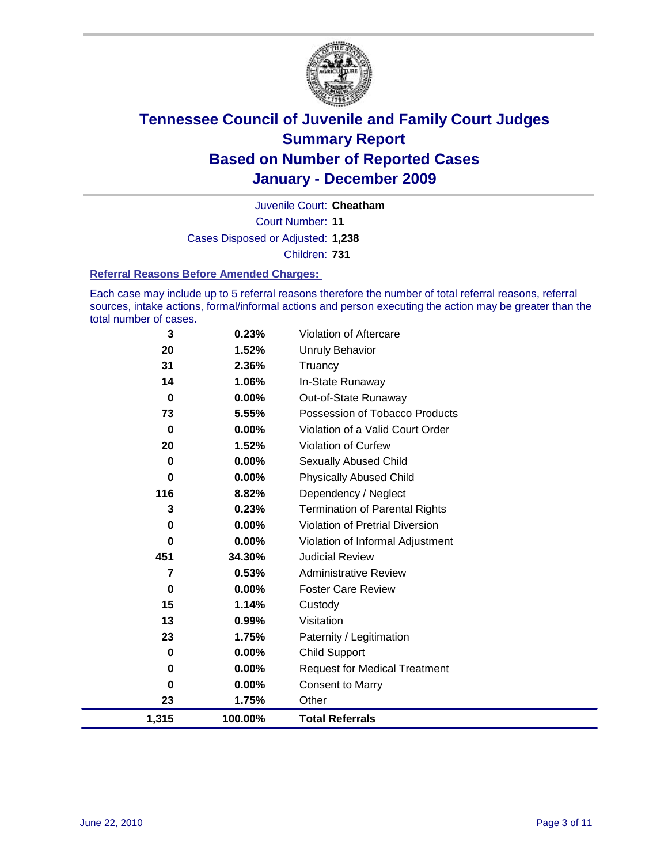

Court Number: **11** Juvenile Court: **Cheatham** Cases Disposed or Adjusted: **1,238** Children: **731**

#### **Referral Reasons Before Amended Charges:**

Each case may include up to 5 referral reasons therefore the number of total referral reasons, referral sources, intake actions, formal/informal actions and person executing the action may be greater than the total number of cases.

| 3           | 0.23%    | Violation of Aftercare                 |
|-------------|----------|----------------------------------------|
| 20          | 1.52%    | <b>Unruly Behavior</b>                 |
| 31          | 2.36%    | Truancy                                |
| 14          | 1.06%    | In-State Runaway                       |
| $\bf{0}$    | 0.00%    | Out-of-State Runaway                   |
| 73          | 5.55%    | Possession of Tobacco Products         |
| $\mathbf 0$ | $0.00\%$ | Violation of a Valid Court Order       |
| 20          | 1.52%    | Violation of Curfew                    |
| 0           | 0.00%    | Sexually Abused Child                  |
| 0           | 0.00%    | <b>Physically Abused Child</b>         |
| 116         | 8.82%    | Dependency / Neglect                   |
| 3           | 0.23%    | <b>Termination of Parental Rights</b>  |
| 0           | 0.00%    | <b>Violation of Pretrial Diversion</b> |
| $\pmb{0}$   | 0.00%    | Violation of Informal Adjustment       |
| 451         | 34.30%   | <b>Judicial Review</b>                 |
| 7           | 0.53%    | <b>Administrative Review</b>           |
| $\mathbf 0$ | $0.00\%$ | <b>Foster Care Review</b>              |
| 15          | 1.14%    | Custody                                |
| 13          | 0.99%    | Visitation                             |
| 23          | 1.75%    | Paternity / Legitimation               |
| 0           | 0.00%    | <b>Child Support</b>                   |
| 0           | $0.00\%$ | <b>Request for Medical Treatment</b>   |
| 0           | 0.00%    | <b>Consent to Marry</b>                |
| 23          | 1.75%    | Other                                  |
| 1,315       | 100.00%  | <b>Total Referrals</b>                 |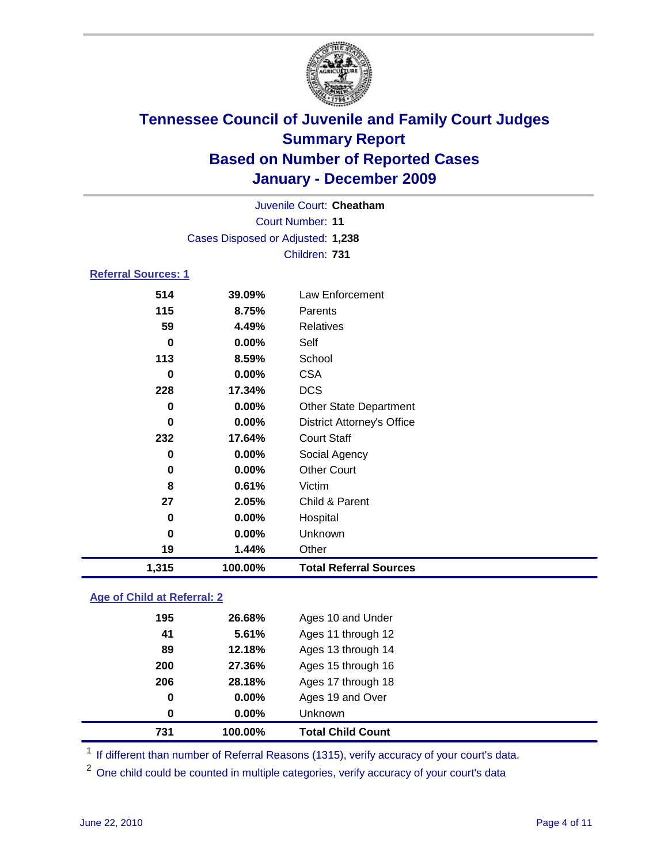

|                            | Juvenile Court: Cheatham          |                                   |  |  |
|----------------------------|-----------------------------------|-----------------------------------|--|--|
|                            | Court Number: 11                  |                                   |  |  |
|                            | Cases Disposed or Adjusted: 1,238 |                                   |  |  |
|                            |                                   | Children: 731                     |  |  |
| <b>Referral Sources: 1</b> |                                   |                                   |  |  |
| 514                        | 39.09%                            | Law Enforcement                   |  |  |
| 115                        | 8.75%                             | Parents                           |  |  |
| 59                         | 4.49%                             | Relatives                         |  |  |
| $\bf{0}$                   | 0.00%                             | Self                              |  |  |
| 113                        | 8.59%                             | School                            |  |  |
| 0                          | 0.00%                             | <b>CSA</b>                        |  |  |
| 228                        | 17.34%                            | <b>DCS</b>                        |  |  |
| 0                          | 0.00%                             | <b>Other State Department</b>     |  |  |
| $\bf{0}$                   | 0.00%                             | <b>District Attorney's Office</b> |  |  |
| 232                        | 17.64%                            | <b>Court Staff</b>                |  |  |
| $\bf{0}$                   | 0.00%                             | Social Agency                     |  |  |
| 0                          | 0.00%                             | <b>Other Court</b>                |  |  |
| 8                          | 0.61%                             | Victim                            |  |  |
| 27                         | 2.05%                             | Child & Parent                    |  |  |
| 0                          | 0.00%                             | Hospital                          |  |  |
| $\bf{0}$                   | 0.00%                             | Unknown                           |  |  |
| 19                         | 1.44%                             | Other                             |  |  |
| 1,315                      | 100.00%                           | <b>Total Referral Sources</b>     |  |  |
|                            |                                   |                                   |  |  |

### **Age of Child at Referral: 2**

| $\bf{0}$ | 0.00%  | <b>Unknown</b>     |
|----------|--------|--------------------|
| $\bf{0}$ | 0.00%  | Ages 19 and Over   |
| 206      | 28.18% | Ages 17 through 18 |
| 200      | 27.36% | Ages 15 through 16 |
| 89       | 12.18% | Ages 13 through 14 |
| 41       | 5.61%  | Ages 11 through 12 |
| 195      | 26.68% | Ages 10 and Under  |
|          |        |                    |

<sup>1</sup> If different than number of Referral Reasons (1315), verify accuracy of your court's data.

<sup>2</sup> One child could be counted in multiple categories, verify accuracy of your court's data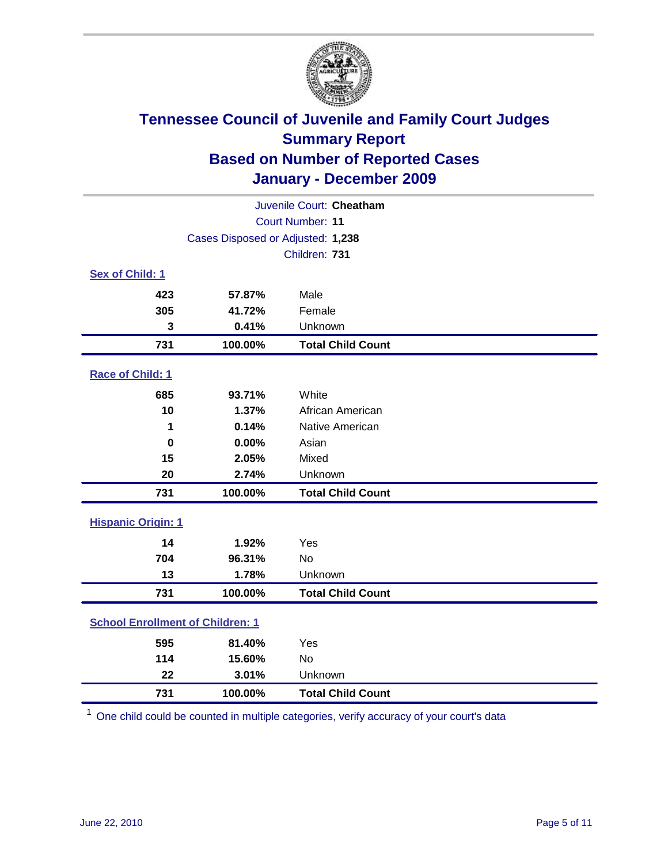

| Juvenile Court: Cheatham                |                                   |                          |  |  |
|-----------------------------------------|-----------------------------------|--------------------------|--|--|
|                                         | <b>Court Number: 11</b>           |                          |  |  |
|                                         | Cases Disposed or Adjusted: 1,238 |                          |  |  |
|                                         |                                   | Children: 731            |  |  |
| Sex of Child: 1                         |                                   |                          |  |  |
| 423                                     | 57.87%                            | Male                     |  |  |
| 305                                     | 41.72%                            | Female                   |  |  |
| 3                                       | 0.41%                             | Unknown                  |  |  |
| 731                                     | 100.00%                           | <b>Total Child Count</b> |  |  |
| Race of Child: 1                        |                                   |                          |  |  |
| 685                                     | 93.71%                            | White                    |  |  |
| 10                                      | 1.37%                             | African American         |  |  |
| 1                                       | 0.14%                             | Native American          |  |  |
| $\bf{0}$                                | 0.00%                             | Asian                    |  |  |
| 15                                      | 2.05%                             | Mixed                    |  |  |
| 20                                      | 2.74%                             | Unknown                  |  |  |
| 731                                     | 100.00%                           | <b>Total Child Count</b> |  |  |
| <b>Hispanic Origin: 1</b>               |                                   |                          |  |  |
| 14                                      | 1.92%                             | Yes                      |  |  |
| 704                                     | 96.31%                            | No                       |  |  |
| 13                                      | 1.78%                             | Unknown                  |  |  |
| 731                                     | 100.00%                           | <b>Total Child Count</b> |  |  |
| <b>School Enrollment of Children: 1</b> |                                   |                          |  |  |
| 595                                     | 81.40%                            | Yes                      |  |  |
| 114                                     | 15.60%                            | No                       |  |  |
| 22                                      | 3.01%                             | Unknown                  |  |  |
| 731                                     | 100.00%                           | <b>Total Child Count</b> |  |  |

One child could be counted in multiple categories, verify accuracy of your court's data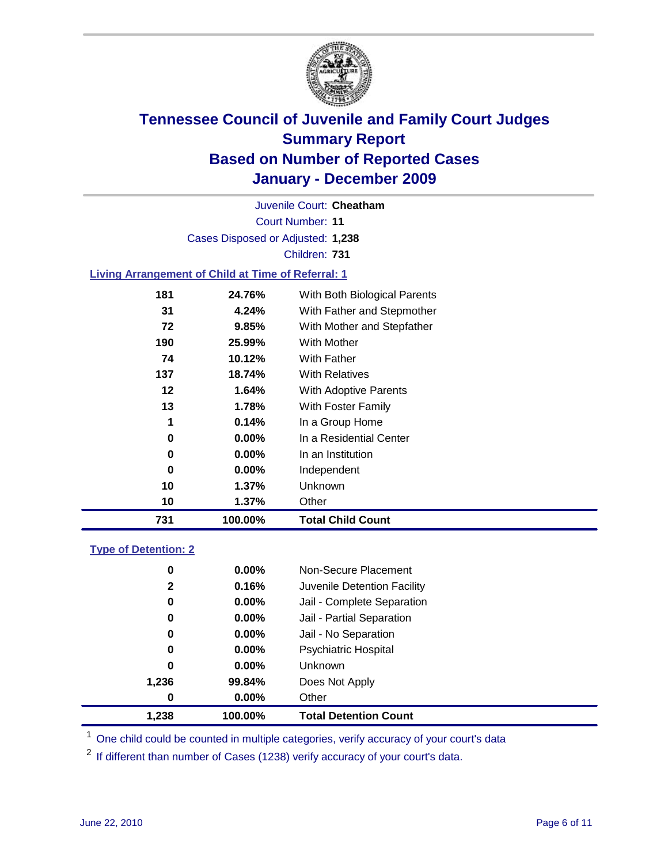

Court Number: **11** Juvenile Court: **Cheatham** Cases Disposed or Adjusted: **1,238** Children: **731**

### **Living Arrangement of Child at Time of Referral: 1**

| 731 | 100.00%  | <b>Total Child Count</b>     |  |
|-----|----------|------------------------------|--|
| 10  | $1.37\%$ | Other                        |  |
| 10  | $1.37\%$ | Unknown                      |  |
| 0   | $0.00\%$ | Independent                  |  |
| 0   | $0.00\%$ | In an Institution            |  |
| 0   | $0.00\%$ | In a Residential Center      |  |
| 1   | 0.14%    | In a Group Home              |  |
| 13  | 1.78%    | With Foster Family           |  |
| 12  | 1.64%    | With Adoptive Parents        |  |
| 137 | 18.74%   | <b>With Relatives</b>        |  |
| 74  | 10.12%   | With Father                  |  |
| 190 | 25.99%   | <b>With Mother</b>           |  |
| 72  | 9.85%    | With Mother and Stepfather   |  |
| 31  | 4.24%    | With Father and Stepmother   |  |
| 181 | 24.76%   | With Both Biological Parents |  |
|     |          |                              |  |

#### **Type of Detention: 2**

| 1,238        | 100.00%  | <b>Total Detention Count</b> |  |
|--------------|----------|------------------------------|--|
| 0            | 0.00%    | Other                        |  |
| 1,236        | 99.84%   | Does Not Apply               |  |
| 0            | $0.00\%$ | Unknown                      |  |
| 0            | $0.00\%$ | Psychiatric Hospital         |  |
| 0            | 0.00%    | Jail - No Separation         |  |
| 0            | $0.00\%$ | Jail - Partial Separation    |  |
| 0            | 0.00%    | Jail - Complete Separation   |  |
| $\mathbf{2}$ | 0.16%    | Juvenile Detention Facility  |  |
| 0            | $0.00\%$ | Non-Secure Placement         |  |
|              |          |                              |  |

<sup>1</sup> One child could be counted in multiple categories, verify accuracy of your court's data

<sup>2</sup> If different than number of Cases (1238) verify accuracy of your court's data.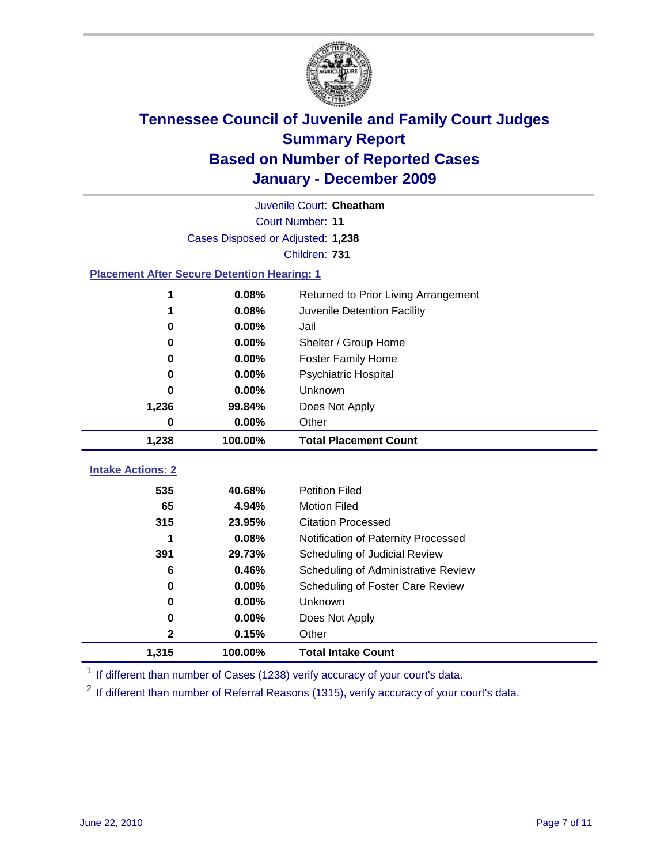

|                                                    | Juvenile Court: Cheatham          |                                      |  |  |
|----------------------------------------------------|-----------------------------------|--------------------------------------|--|--|
|                                                    | Court Number: 11                  |                                      |  |  |
|                                                    | Cases Disposed or Adjusted: 1,238 |                                      |  |  |
|                                                    |                                   | Children: 731                        |  |  |
| <b>Placement After Secure Detention Hearing: 1</b> |                                   |                                      |  |  |
| 1                                                  | 0.08%                             | Returned to Prior Living Arrangement |  |  |
| 1                                                  | 0.08%                             | Juvenile Detention Facility          |  |  |
| $\bf{0}$                                           | 0.00%                             | Jail                                 |  |  |
| $\bf{0}$                                           | 0.00%                             | Shelter / Group Home                 |  |  |
| 0                                                  | 0.00%                             | <b>Foster Family Home</b>            |  |  |
| $\bf{0}$                                           | 0.00%                             | <b>Psychiatric Hospital</b>          |  |  |
| 0                                                  | 0.00%                             | Unknown                              |  |  |
| 1,236                                              | 99.84%                            | Does Not Apply                       |  |  |
| $\bf{0}$                                           | 0.00%                             | Other                                |  |  |
| 1,238                                              | 100.00%                           | <b>Total Placement Count</b>         |  |  |
|                                                    |                                   |                                      |  |  |
| <b>Intake Actions: 2</b>                           |                                   |                                      |  |  |
| 535                                                | 40.68%                            | <b>Petition Filed</b>                |  |  |
| 65                                                 | 4.94%                             | <b>Motion Filed</b>                  |  |  |
| 315                                                | 23.95%                            | <b>Citation Processed</b>            |  |  |
|                                                    | 0.08%                             | Notification of Paternity Processed  |  |  |
| 391                                                | 29.73%                            | Scheduling of Judicial Review        |  |  |
| 6                                                  | 0.46%                             | Scheduling of Administrative Review  |  |  |
| 0                                                  | 0.00%                             | Scheduling of Foster Care Review     |  |  |
| $\bf{0}$                                           | 0.00%                             | Unknown                              |  |  |
| 0                                                  | 0.00%                             | Does Not Apply                       |  |  |
| 2                                                  | 0.15%                             | Other                                |  |  |
| 1,315                                              | 100.00%                           | <b>Total Intake Count</b>            |  |  |

<sup>1</sup> If different than number of Cases (1238) verify accuracy of your court's data.

<sup>2</sup> If different than number of Referral Reasons (1315), verify accuracy of your court's data.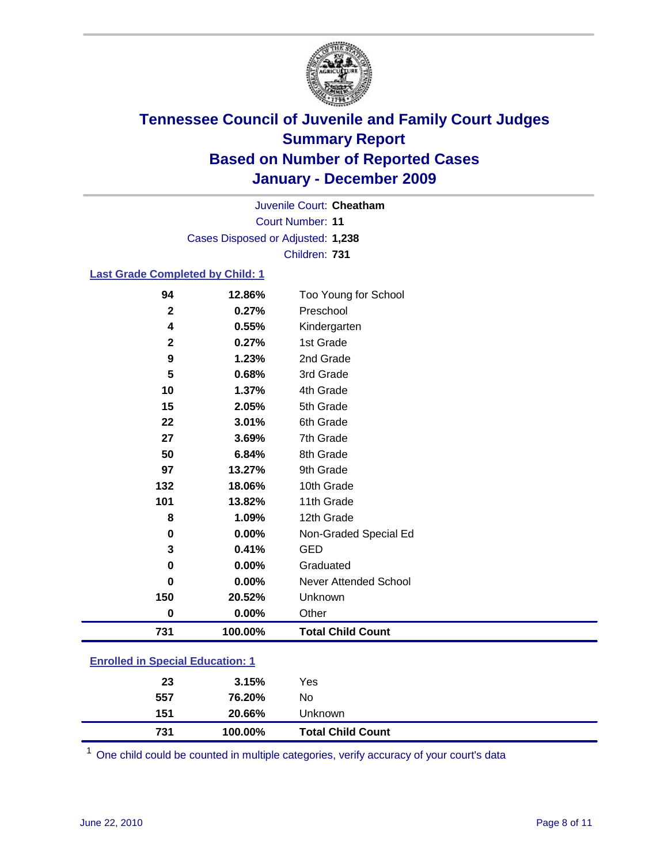

Court Number: **11** Juvenile Court: **Cheatham** Cases Disposed or Adjusted: **1,238** Children: **731**

### **Last Grade Completed by Child: 1**

| 94                                      | 12.86%  | Too Young for School         |  |
|-----------------------------------------|---------|------------------------------|--|
| $\mathbf{2}$                            | 0.27%   | Preschool                    |  |
| 4                                       | 0.55%   | Kindergarten                 |  |
| $\mathbf 2$                             | 0.27%   | 1st Grade                    |  |
| 9                                       | 1.23%   | 2nd Grade                    |  |
| 5                                       | 0.68%   | 3rd Grade                    |  |
| 10                                      | 1.37%   | 4th Grade                    |  |
| 15                                      | 2.05%   | 5th Grade                    |  |
| 22                                      | 3.01%   | 6th Grade                    |  |
| 27                                      | 3.69%   | 7th Grade                    |  |
| 50                                      | 6.84%   | 8th Grade                    |  |
| 97                                      | 13.27%  | 9th Grade                    |  |
| 132                                     | 18.06%  | 10th Grade                   |  |
| 101                                     | 13.82%  | 11th Grade                   |  |
| 8                                       | 1.09%   | 12th Grade                   |  |
| 0                                       | 0.00%   | Non-Graded Special Ed        |  |
| 3                                       | 0.41%   | <b>GED</b>                   |  |
| 0                                       | 0.00%   | Graduated                    |  |
| $\bf{0}$                                | 0.00%   | <b>Never Attended School</b> |  |
| 150                                     | 20.52%  | Unknown                      |  |
| $\bf{0}$                                | 0.00%   | Other                        |  |
| 731                                     | 100.00% | <b>Total Child Count</b>     |  |
| <b>Enrolled in Special Education: 1</b> |         |                              |  |

| 731 | 100.00% | <b>Total Child Count</b> |
|-----|---------|--------------------------|
| 151 | 20.66%  | Unknown                  |
| 557 | 76.20%  | No                       |
| 23  | 3.15%   | Yes                      |
|     |         |                          |

One child could be counted in multiple categories, verify accuracy of your court's data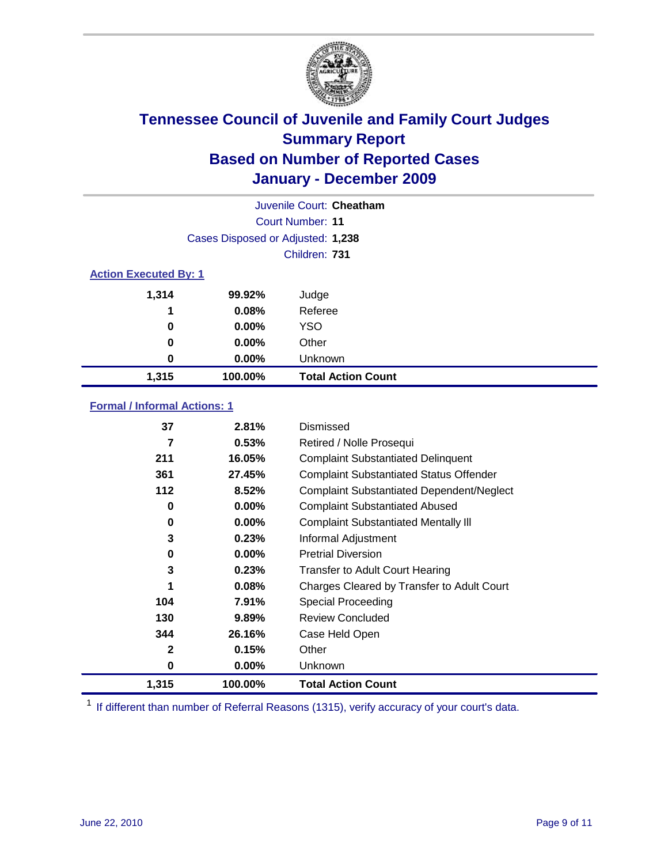

|                              | Juvenile Court: Cheatham          |                           |  |  |
|------------------------------|-----------------------------------|---------------------------|--|--|
|                              | Court Number: 11                  |                           |  |  |
|                              | Cases Disposed or Adjusted: 1,238 |                           |  |  |
|                              |                                   | Children: 731             |  |  |
| <b>Action Executed By: 1</b> |                                   |                           |  |  |
| 1,314                        | 99.92%                            | Judge                     |  |  |
| 1                            | 0.08%                             | Referee                   |  |  |
| 0                            | 0.00%                             | <b>YSO</b>                |  |  |
| 0                            | $0.00\%$                          | Other                     |  |  |
| 0                            | 0.00%                             | Unknown                   |  |  |
| 1,315                        | 100.00%                           | <b>Total Action Count</b> |  |  |

### **Formal / Informal Actions: 1**

| 37           | 2.81%    | Dismissed                                        |
|--------------|----------|--------------------------------------------------|
| 7            | 0.53%    | Retired / Nolle Prosequi                         |
| 211          | 16.05%   | <b>Complaint Substantiated Delinquent</b>        |
| 361          | 27.45%   | <b>Complaint Substantiated Status Offender</b>   |
| 112          | 8.52%    | <b>Complaint Substantiated Dependent/Neglect</b> |
| 0            | $0.00\%$ | <b>Complaint Substantiated Abused</b>            |
| 0            | $0.00\%$ | <b>Complaint Substantiated Mentally III</b>      |
| 3            | 0.23%    | Informal Adjustment                              |
| 0            | $0.00\%$ | <b>Pretrial Diversion</b>                        |
| 3            | 0.23%    | <b>Transfer to Adult Court Hearing</b>           |
| 1            | 0.08%    | Charges Cleared by Transfer to Adult Court       |
| 104          | 7.91%    | Special Proceeding                               |
| 130          | 9.89%    | <b>Review Concluded</b>                          |
| 344          | 26.16%   | Case Held Open                                   |
| $\mathbf{2}$ | 0.15%    | Other                                            |
| 0            | $0.00\%$ | <b>Unknown</b>                                   |
| 1,315        | 100.00%  | <b>Total Action Count</b>                        |

<sup>1</sup> If different than number of Referral Reasons (1315), verify accuracy of your court's data.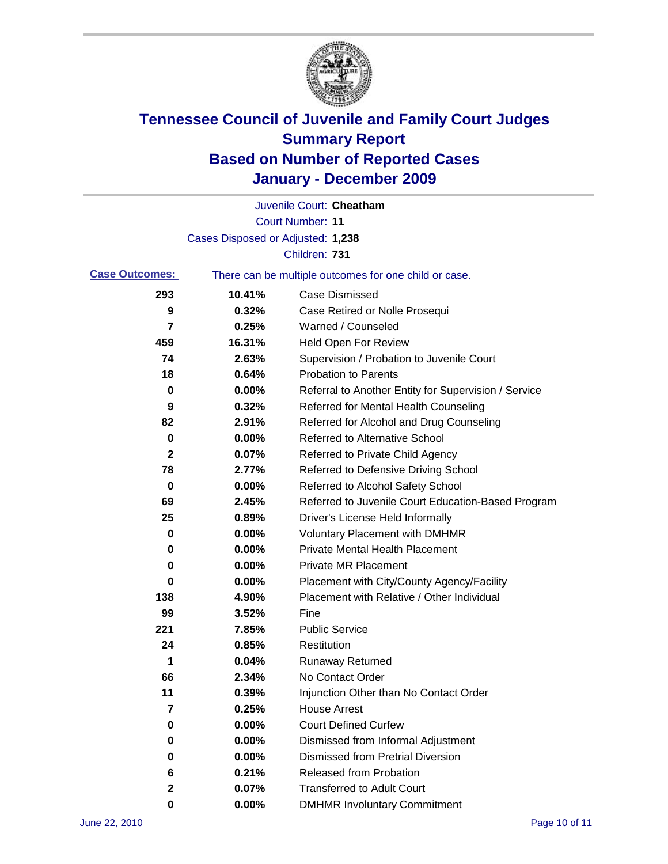

|                       |                                   | Juvenile Court: Cheatham                              |
|-----------------------|-----------------------------------|-------------------------------------------------------|
|                       |                                   | <b>Court Number: 11</b>                               |
|                       | Cases Disposed or Adjusted: 1,238 |                                                       |
|                       |                                   | Children: 731                                         |
| <b>Case Outcomes:</b> |                                   | There can be multiple outcomes for one child or case. |
| 293                   | 10.41%                            | <b>Case Dismissed</b>                                 |
| 9                     | 0.32%                             | Case Retired or Nolle Prosequi                        |
| 7                     | 0.25%                             | Warned / Counseled                                    |
| 459                   | 16.31%                            | <b>Held Open For Review</b>                           |
| 74                    | 2.63%                             | Supervision / Probation to Juvenile Court             |
| 18                    | 0.64%                             | <b>Probation to Parents</b>                           |
| 0                     | 0.00%                             | Referral to Another Entity for Supervision / Service  |
| 9                     | 0.32%                             | Referred for Mental Health Counseling                 |
| 82                    | 2.91%                             | Referred for Alcohol and Drug Counseling              |
| 0                     | 0.00%                             | <b>Referred to Alternative School</b>                 |
| 2                     | 0.07%                             | Referred to Private Child Agency                      |
| 78                    | 2.77%                             | Referred to Defensive Driving School                  |
| 0                     | 0.00%                             | Referred to Alcohol Safety School                     |
| 69                    | 2.45%                             | Referred to Juvenile Court Education-Based Program    |
| 25                    | 0.89%                             | Driver's License Held Informally                      |
| 0                     | 0.00%                             | <b>Voluntary Placement with DMHMR</b>                 |
| 0                     | 0.00%                             | <b>Private Mental Health Placement</b>                |
| 0                     | 0.00%                             | <b>Private MR Placement</b>                           |
| 0                     | 0.00%                             | Placement with City/County Agency/Facility            |
| 138                   | 4.90%                             | Placement with Relative / Other Individual            |
| 99                    | 3.52%                             | Fine                                                  |
| 221                   | 7.85%                             | <b>Public Service</b>                                 |
| 24                    | 0.85%                             | Restitution                                           |
| 1                     | 0.04%                             | <b>Runaway Returned</b>                               |
| 66                    | 2.34%                             | No Contact Order                                      |
| 11                    | 0.39%                             | Injunction Other than No Contact Order                |
| 7                     | 0.25%                             | <b>House Arrest</b>                                   |
| 0                     | 0.00%                             | <b>Court Defined Curfew</b>                           |
| 0                     | 0.00%                             | Dismissed from Informal Adjustment                    |
| 0                     | 0.00%                             | <b>Dismissed from Pretrial Diversion</b>              |
| 6                     | 0.21%                             | Released from Probation                               |
| $\mathbf{2}$          | 0.07%                             | <b>Transferred to Adult Court</b>                     |
| 0                     | $0.00\%$                          | <b>DMHMR Involuntary Commitment</b>                   |